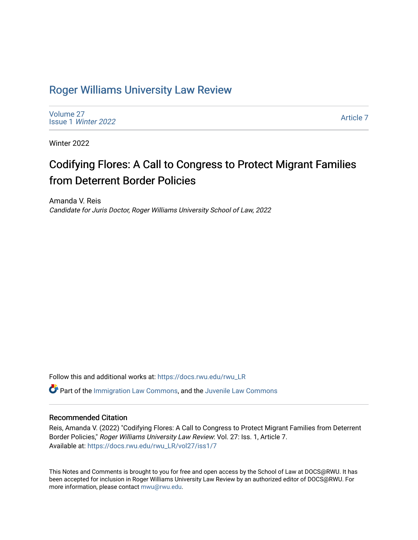## [Roger Williams University Law Review](https://docs.rwu.edu/rwu_LR)

[Volume 27](https://docs.rwu.edu/rwu_LR/vol27) Issue 1 [Winter 2022](https://docs.rwu.edu/rwu_LR/vol27/iss1) 

[Article 7](https://docs.rwu.edu/rwu_LR/vol27/iss1/7) 

Winter 2022

# Codifying Flores: A Call to Congress to Protect Migrant Families from Deterrent Border Policies

Amanda V. Reis Candidate for Juris Doctor, Roger Williams University School of Law, 2022

Follow this and additional works at: [https://docs.rwu.edu/rwu\\_LR](https://docs.rwu.edu/rwu_LR?utm_source=docs.rwu.edu%2Frwu_LR%2Fvol27%2Fiss1%2F7&utm_medium=PDF&utm_campaign=PDFCoverPages) 

 $\bullet$  Part of the [Immigration Law Commons](http://network.bepress.com/hgg/discipline/604?utm_source=docs.rwu.edu%2Frwu_LR%2Fvol27%2Fiss1%2F7&utm_medium=PDF&utm_campaign=PDFCoverPages), and the Juvenile Law Commons

## Recommended Citation

Reis, Amanda V. (2022) "Codifying Flores: A Call to Congress to Protect Migrant Families from Deterrent Border Policies," Roger Williams University Law Review: Vol. 27: Iss. 1, Article 7. Available at: [https://docs.rwu.edu/rwu\\_LR/vol27/iss1/7](https://docs.rwu.edu/rwu_LR/vol27/iss1/7?utm_source=docs.rwu.edu%2Frwu_LR%2Fvol27%2Fiss1%2F7&utm_medium=PDF&utm_campaign=PDFCoverPages) 

This Notes and Comments is brought to you for free and open access by the School of Law at DOCS@RWU. It has been accepted for inclusion in Roger Williams University Law Review by an authorized editor of DOCS@RWU. For more information, please contact [mwu@rwu.edu](mailto:mwu@rwu.edu).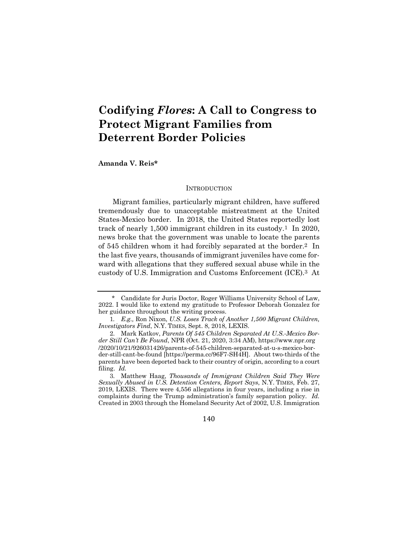## **Codifying** *Flores***: A Call to Congress to Protect Migrant Families from Deterrent Border Policies**

**Amanda V. Reis\***

#### **INTRODUCTION**

Migrant families, particularly migrant children, have suffered tremendously due to unacceptable mistreatment at the United States-Mexico border. In 2018, the United States reportedly lost track of nearly 1,500 immigrant children in its custody.1 In 2020, news broke that the government was unable to locate the parents of 545 children whom it had forcibly separated at the border.2 In the last five years, thousands of immigrant juveniles have come forward with allegations that they suffered sexual abuse while in the custody of U.S. Immigration and Customs Enforcement (ICE).3 At

140

<sup>\*</sup> Candidate for Juris Doctor, Roger Williams University School of Law, 2022. I would like to extend my gratitude to Professor Deborah Gonzalez for her guidance throughout the writing process.

<sup>1</sup>*. E.g.,* Ron Nixon, *U.S. Loses Track of Another 1,500 Migrant Children, Investigators Find*, N.Y. TIMES, Sept. 8, 2018, LEXIS.

<sup>2.</sup> Mark Katkov, *Parents Of 545 Children Separated At U.S.-Mexico Border Still Can't Be Found*, NPR (Oct. 21, 2020, 3:34 AM), https://www.npr.org /2020/10/21/926031426/parents-of-545-children-separated-at-u-s-mexico-border-still-cant-be-found [https://perma.cc/96F7-SH4H]. About two-thirds of the parents have been deported back to their country of origin, according to a court filing. *Id.*

<sup>3.</sup> Matthew Haag, *Thousands of Immigrant Children Said They Were Sexually Abused in U.S. Detention Centers, Report Says*, N.Y. TIMES, Feb. 27, 2019, LEXIS. There were 4,556 allegations in four years, including a rise in complaints during the Trump administration's family separation policy. *Id.* Created in 2003 through the Homeland Security Act of 2002, U.S. Immigration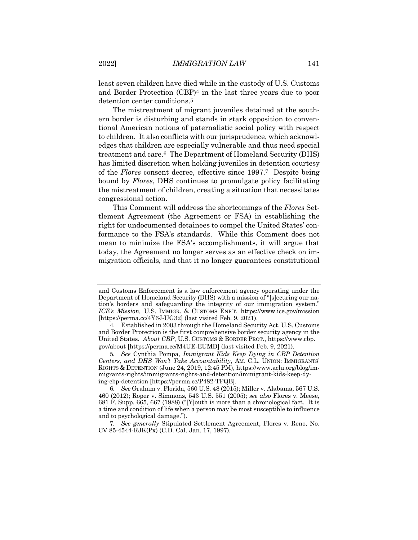least seven children have died while in the custody of U.S. Customs and Border Protection (CBP)4 in the last three years due to poor detention center conditions.5

The mistreatment of migrant juveniles detained at the southern border is disturbing and stands in stark opposition to conventional American notions of paternalistic social policy with respect to children. It also conflicts with our jurisprudence, which acknowledges that children are especially vulnerable and thus need special treatment and care.6 The Department of Homeland Security (DHS) has limited discretion when holding juveniles in detention courtesy of the *Flores* consent decree, effective since 1997.7 Despite being bound by *Flores*, DHS continues to promulgate policy facilitating the mistreatment of children, creating a situation that necessitates congressional action.

This Comment will address the shortcomings of the *Flores* Settlement Agreement (the Agreement or FSA) in establishing the right for undocumented detainees to compel the United States' conformance to the FSA's standards. While this Comment does not mean to minimize the FSA's accomplishments, it will argue that today, the Agreement no longer serves as an effective check on immigration officials, and that it no longer guarantees constitutional

and Customs Enforcement is a law enforcement agency operating under the Department of Homeland Security (DHS) with a mission of "[s]ecuring our nation's borders and safeguarding the integrity of our immigration system." *ICE's Mission,* U.S. IMMIGR. & CUSTOMS ENF'T, https://www.ice.gov/mission [https://perma.cc/4Y6J-UG32] (last visited Feb. 9, 2021).

<sup>4.</sup> Established in 2003 through the Homeland Security Act, U.S. Customs and Border Protection is the first comprehensive border security agency in the United States. *About CBP*, U.S. CUSTOMS & BORDER PROT., https://www.cbp. gov/about [https://perma.cc/M4UE-EUMD] (last visited Feb. 9, 2021).

<sup>5</sup>*. See* Cynthia Pompa, *Immigrant Kids Keep Dying in CBP Detention Centers, and DHS Won't Take Accountability*, AM. C.L. UNION: IMMIGRANTS' RIGHTS & DETENTION (June 24, 2019, 12:45 PM), https://www.aclu.org/blog/immigrants-rights/immigrants-rights-and-detention/immigrant-kids-keep-dying-cbp-detention [https://perma.cc/P482-TPQB].

<sup>6</sup>*. See* Graham v. Florida, 560 U.S. 48 (2015); Miller v. Alabama, 567 U.S. 460 (2012); Roper v. Simmons, 543 U.S. 551 (2005); *see also* Flores v. Meese, 681 F. Supp. 665, 667 (1988) ("[Y]outh is more than a chronological fact. It is a time and condition of life when a person may be most susceptible to influence and to psychological damage.").

<sup>7</sup>*. See generally* Stipulated Settlement Agreement, Flores v. Reno, No. CV 85-4544-RJK(Px) (C.D. Cal. Jan. 17, 1997).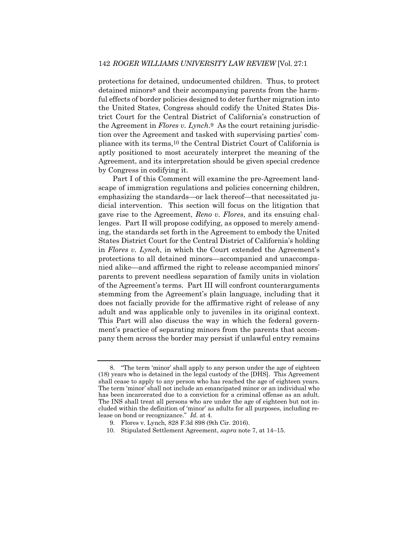protections for detained, undocumented children. Thus, to protect detained minors<sup>8</sup> and their accompanying parents from the harmful effects of border policies designed to deter further migration into the United States, Congress should codify the United States District Court for the Central District of California's construction of the Agreement in *Flores v. Lynch*.9 As the court retaining jurisdiction over the Agreement and tasked with supervising parties' compliance with its terms,10 the Central District Court of California is aptly positioned to most accurately interpret the meaning of the Agreement, and its interpretation should be given special credence by Congress in codifying it.

Part I of this Comment will examine the pre-Agreement landscape of immigration regulations and policies concerning children, emphasizing the standards—or lack thereof—that necessitated judicial intervention. This section will focus on the litigation that gave rise to the Agreement, *Reno v. Flores*, and its ensuing challenges. Part II will propose codifying, as opposed to merely amending, the standards set forth in the Agreement to embody the United States District Court for the Central District of California's holding in *Flores v. Lynch*, in which the Court extended the Agreement's protections to all detained minors—accompanied and unaccompanied alike—and affirmed the right to release accompanied minors' parents to prevent needless separation of family units in violation of the Agreement's terms. Part III will confront counterarguments stemming from the Agreement's plain language, including that it does not facially provide for the affirmative right of release of any adult and was applicable only to juveniles in its original context. This Part will also discuss the way in which the federal government's practice of separating minors from the parents that accompany them across the border may persist if unlawful entry remains

<sup>8.</sup> "The term 'minor' shall apply to any person under the age of eighteen (18) years who is detained in the legal custody of the [DHS]. This Agreement shall cease to apply to any person who has reached the age of eighteen years. The term 'minor' shall not include an emancipated minor or an individual who has been incarcerated due to a conviction for a criminal offense as an adult. The INS shall treat all persons who are under the age of eighteen but not included within the definition of 'minor' as adults for all purposes, including release on bond or recognizance." *Id.* at 4.

<sup>9.</sup> Flores v. Lynch, 828 F.3d 898 (9th Cir. 2016).

<sup>10.</sup> Stipulated Settlement Agreement, *supra* note 7, at 14–15.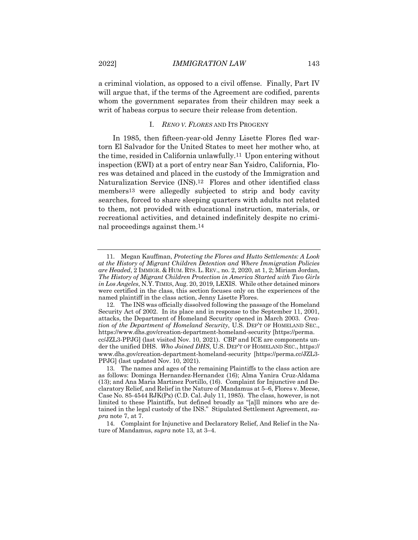a criminal violation, as opposed to a civil offense. Finally, Part IV will argue that, if the terms of the Agreement are codified, parents whom the government separates from their children may seek a writ of habeas corpus to secure their release from detention.

### I. *RENO V. FLORES* AND ITS PROGENY

In 1985, then fifteen-year-old Jenny Lisette Flores fled wartorn El Salvador for the United States to meet her mother who, at the time, resided in California unlawfully.11 Upon entering without inspection (EWI) at a port of entry near San Ysidro, California, Flores was detained and placed in the custody of the Immigration and Naturalization Service (INS).12 Flores and other identified class members13 were allegedly subjected to strip and body cavity searches, forced to share sleeping quarters with adults not related to them, not provided with educational instruction, materials, or recreational activities, and detained indefinitely despite no criminal proceedings against them.14

<sup>11.</sup> Megan Kauffman, *Protecting the Flores and Hutto Settlements: A Look at the History of Migrant Children Detention and Where Immigration Policies are Headed*, 2 IMMIGR. & HUM. RTS. L. REV., no. 2, 2020, at 1, 2; Miriam Jordan, *The History of Migrant Children Protection in America Started with Two Girls in Los Angeles*, N.Y.TIMES, Aug. 20, 2019, LEXIS. While other detained minors were certified in the class, this section focuses only on the experiences of the named plaintiff in the class action, Jenny Lisette Flores.

<sup>12.</sup> The INS was officially dissolved following the passage of the Homeland Security Act of 2002. In its place and in response to the September 11, 2001, attacks, the Department of Homeland Security opened in March 2003. *Creation of the Department of Homeland Security*, U.S. DEP'T OF HOMELAND SEC., https://www.dhs.gov/creation-department-homeland-security [https://perma. cc/JZL3-PPJG] (last visited Nov. 10, 2021). CBP and ICE are components under the unified DHS. *Who Joined DHS*, U.S. DEP'T OF HOMELAND SEC., https:// www.dhs.gov/creation-department-homeland-security [https://perma.cc/JZL3- PPJG] (last updated Nov. 10, 2021).

<sup>13.</sup> The names and ages of the remaining Plaintiffs to the class action are as follows: Dominga Hernandez-Hernandez (16); Alma Yanira Cruz-Aldama (13); and Ana Maria Martinez Portillo, (16). Complaint for Injunctive and Declaratory Relief, and Relief in the Nature of Mandamus at 5–6, Flores v. Meese, Case No. 85-4544  $RJK(Px)$  (C.D. Cal. July 11, 1985). The class, however, is not limited to these Plaintiffs, but defined broadly as "[a]ll minors who are detained in the legal custody of the INS." Stipulated Settlement Agreement, *supra* note 7, at 7.

<sup>14.</sup> Complaint for Injunctive and Declaratory Relief, And Relief in the Nature of Mandamus, *supra* note 13, at 3–4.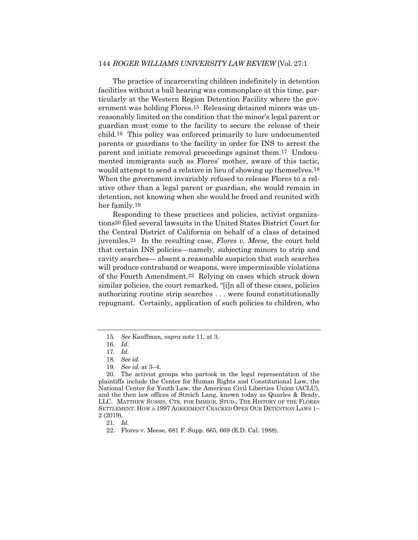The practice of incarcerating children indefinitely in detention facilities without a bail hearing was commonplace at this time, particularly at the Western Region Detention Facility where the government was holding Flores.15 Releasing detained minors was unreasonably limited on the condition that the minor's legal parent or guardian must come to the facility to secure the release of their child.16 This policy was enforced primarily to lure undocumented parents or guardians to the facility in order for INS to arrest the parent and initiate removal proceedings against them.17 Undocumented immigrants such as Flores' mother, aware of this tactic, would attempt to send a relative in lieu of showing up themselves.<sup>18</sup> When the government invariably refused to release Flores to a relative other than a legal parent or guardian, she would remain in detention, not knowing when she would be freed and reunited with her family.19

Responding to these practices and policies, activist organizations20 filed several lawsuits in the United States District Court for the Central District of California on behalf of a class of detained juveniles.21 In the resulting case, *Flores v. Meese*, the court held that certain INS policies—namely, subjecting minors to strip and cavity searches— absent a reasonable suspicion that such searches will produce contraband or weapons, were impermissible violations of the Fourth Amendment.22 Relying on cases which struck down similar policies, the court remarked, "[i]n all of these cases, policies authorizing routine strip searches . . . were found constitutionally repugnant. Certainly, application of such policies to children, who

<sup>15</sup>*. See* Kauffman, *supra* note 11, at 3.

<sup>16</sup>*. Id.*

<sup>17</sup>*. Id.*

<sup>18</sup>*. See id.*

<sup>19</sup>*. See id.* at 3–4.

<sup>20.</sup> The activist groups who partook in the legal representation of the plaintiffs include the Center for Human Rights and Constitutional Law, the National Center for Youth Law, the American Civil Liberties Union (ACLU), and the then law offices of Streich Lang, known today as Quarles & Brady, LLC. MATTHEW SUSSIS, CTR. FOR IMMIGR. STUD., THE HISTORY OF THE FLORES SETTLEMENT: HOW A 1997 AGREEMENT CRACKED OPEN OUR DETENTION LAWS 1– 2 (2019).

<sup>21</sup>*. Id.*

<sup>22.</sup> Flores v. Meese, 681 F. Supp. 665, 669 (E.D. Cal. 1988).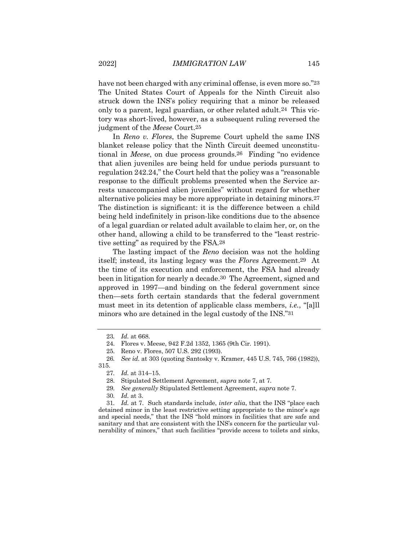have not been charged with any criminal offense, is even more so."23 The United States Court of Appeals for the Ninth Circuit also struck down the INS's policy requiring that a minor be released only to a parent, legal guardian, or other related adult.24 This victory was short-lived, however, as a subsequent ruling reversed the judgment of the *Meese* Court.25

In *Reno v. Flores*, the Supreme Court upheld the same INS blanket release policy that the Ninth Circuit deemed unconstitutional in *Meese*, on due process grounds.26 Finding "no evidence that alien juveniles are being held for undue periods pursuant to regulation 242.24," the Court held that the policy was a "reasonable response to the difficult problems presented when the Service arrests unaccompanied alien juveniles" without regard for whether alternative policies may be more appropriate in detaining minors.27 The distinction is significant: it is the difference between a child being held indefinitely in prison-like conditions due to the absence of a legal guardian or related adult available to claim her, or, on the other hand, allowing a child to be transferred to the "least restrictive setting" as required by the FSA.28

The lasting impact of the *Reno* decision was not the holding itself; instead, its lasting legacy was the *Flores* Agreement.29 At the time of its execution and enforcement, the FSA had already been in litigation for nearly a decade.30 The Agreement, signed and approved in 1997—and binding on the federal government since then—sets forth certain standards that the federal government must meet in its detention of applicable class members, *i.e.*, "[a]ll minors who are detained in the legal custody of the INS."31

31*. Id.* at 7. Such standards include, *inter alia*, that the INS "place each detained minor in the least restrictive setting appropriate to the minor's age and special needs," that the INS "hold minors in facilities that are safe and sanitary and that are consistent with the INS's concern for the particular vulnerability of minors," that such facilities "provide access to toilets and sinks,

<sup>23</sup>*. Id.* at 668.

<sup>24.</sup> Flores v. Meese, 942 F.2d 1352, 1365 (9th Cir. 1991).

<sup>25.</sup> Reno v. Flores, 507 U.S. 292 (1993).

<sup>26</sup>*. See id.* at 303 (quoting Santosky v. Kramer, 445 U.S. 745, 766 (1982)), 315.

<sup>27</sup>*. Id.* at 314–15.

<sup>28.</sup> Stipulated Settlement Agreement, *supra* note 7, at 7.

<sup>29</sup>*. See generally* Stipulated Settlement Agreement, *supra* note 7.

<sup>30</sup>*. Id.* at 3.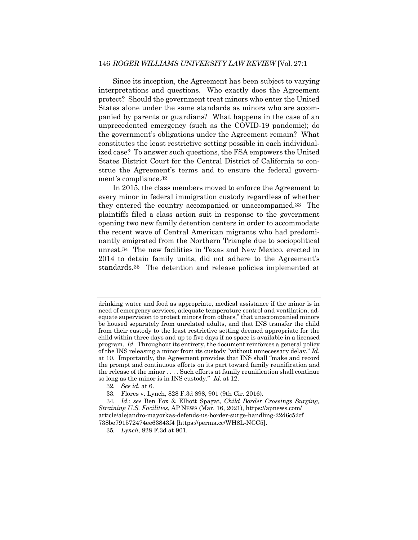Since its inception, the Agreement has been subject to varying interpretations and questions. Who exactly does the Agreement protect? Should the government treat minors who enter the United States alone under the same standards as minors who are accompanied by parents or guardians? What happens in the case of an unprecedented emergency (such as the COVID-19 pandemic); do the government's obligations under the Agreement remain? What constitutes the least restrictive setting possible in each individualized case? To answer such questions, the FSA empowers the United States District Court for the Central District of California to construe the Agreement's terms and to ensure the federal government's compliance.32

In 2015, the class members moved to enforce the Agreement to every minor in federal immigration custody regardless of whether they entered the country accompanied or unaccompanied.33 The plaintiffs filed a class action suit in response to the government opening two new family detention centers in order to accommodate the recent wave of Central American migrants who had predominantly emigrated from the Northern Triangle due to sociopolitical unrest.34 The new facilities in Texas and New Mexico, erected in 2014 to detain family units, did not adhere to the Agreement's standards.35 The detention and release policies implemented at

drinking water and food as appropriate, medical assistance if the minor is in need of emergency services, adequate temperature control and ventilation, adequate supervision to protect minors from others," that unaccompanied minors be housed separately from unrelated adults, and that INS transfer the child from their custody to the least restrictive setting deemed appropriate for the child within three days and up to five days if no space is available in a licensed program. *Id.* Throughout its entirety, the document reinforces a general policy of the INS releasing a minor from its custody "without unnecessary delay." *Id.* at 10. Importantly, the Agreement provides that INS shall "make and record the prompt and continuous efforts on its part toward family reunification and the release of the minor . . . . Such efforts at family reunification shall continue so long as the minor is in INS custody." *Id.* at 12.

<sup>32</sup>*. See id.* at 6.

<sup>33.</sup> Flores v. Lynch, 828 F.3d 898, 901 (9th Cir. 2016).

<sup>34</sup>*. Id.*; *see* Ben Fox & Elliott Spagat, *Child Border Crossings Surging, Straining U.S. Facilities*, AP NEWS (Mar. 16, 2021), https://apnews.com/ article/alejandro-mayorkas-defends-us-border-surge-handling-22d6c52cf 738be791572474ee63843f4 [https://perma.cc/WH8L-NCC5].

<sup>35</sup>*. Lynch*, 828 F.3d at 901.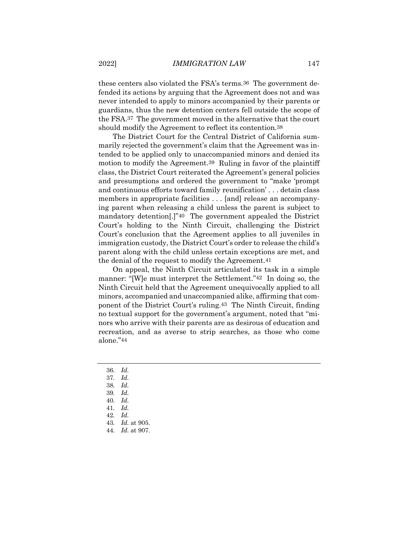these centers also violated the FSA's terms.36 The government defended its actions by arguing that the Agreement does not and was never intended to apply to minors accompanied by their parents or guardians, thus the new detention centers fell outside the scope of the FSA.37 The government moved in the alternative that the court should modify the Agreement to reflect its contention.38

The District Court for the Central District of California summarily rejected the government's claim that the Agreement was intended to be applied only to unaccompanied minors and denied its motion to modify the Agreement.39 Ruling in favor of the plaintiff class, the District Court reiterated the Agreement's general policies and presumptions and ordered the government to "make 'prompt and continuous efforts toward family reunification' . . . detain class members in appropriate facilities . . . [and] release an accompanying parent when releasing a child unless the parent is subject to mandatory detention[.]"40 The government appealed the District Court's holding to the Ninth Circuit, challenging the District Court's conclusion that the Agreement applies to all juveniles in immigration custody, the District Court's order to release the child's parent along with the child unless certain exceptions are met, and the denial of the request to modify the Agreement.41

On appeal, the Ninth Circuit articulated its task in a simple manner: "[W]e must interpret the Settlement."42 In doing so, the Ninth Circuit held that the Agreement unequivocally applied to all minors, accompanied and unaccompanied alike, affirming that component of the District Court's ruling.43 The Ninth Circuit, finding no textual support for the government's argument, noted that "minors who arrive with their parents are as desirous of education and recreation, and as averse to strip searches, as those who come alone."44

- 36*. Id.*
- 37*. Id.*
- 38*. Id.*
- 39*. Id.*
- 40*. Id.*
- 41*. Id.* 42*. Id.*
- 43*. Id.* at 905.
- 44*. Id.* at 907.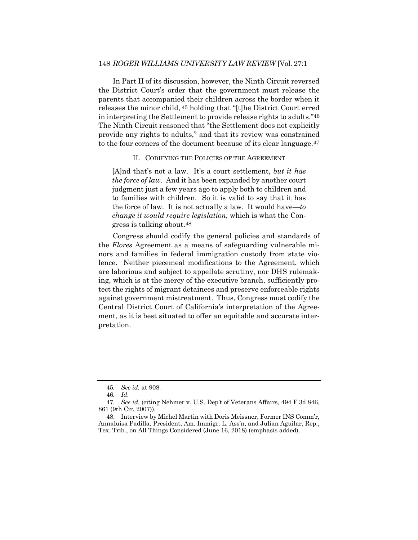In Part II of its discussion, however, the Ninth Circuit reversed the District Court's order that the government must release the parents that accompanied their children across the border when it releases the minor child, 45 holding that "[t]he District Court erred in interpreting the Settlement to provide release rights to adults."46 The Ninth Circuit reasoned that "the Settlement does not explicitly provide any rights to adults," and that its review was constrained to the four corners of the document because of its clear language.47

#### II. CODIFYING THE POLICIES OF THE AGREEMENT

[A]nd that's not a law. It's a court settlement, *but it has the force of law*. And it has been expanded by another court judgment just a few years ago to apply both to children and to families with children. So it is valid to say that it has the force of law. It is not actually a law. It would have—*to change it would require legislation*, which is what the Congress is talking about.48

Congress should codify the general policies and standards of the *Flores* Agreement as a means of safeguarding vulnerable minors and families in federal immigration custody from state violence. Neither piecemeal modifications to the Agreement, which are laborious and subject to appellate scrutiny, nor DHS rulemaking, which is at the mercy of the executive branch, sufficiently protect the rights of migrant detainees and preserve enforceable rights against government mistreatment. Thus, Congress must codify the Central District Court of California's interpretation of the Agreement, as it is best situated to offer an equitable and accurate interpretation.

<sup>45</sup>*. See id.* at 908.

<sup>46</sup>*. Id.*

<sup>47</sup>*. See id.* (citing Nehmer v. U.S. Dep't of Veterans Affairs, 494 F.3d 846, 861 (9th Cir. 2007)).

<sup>48.</sup> Interview by Michel Martin with Doris Meissner, Former INS Comm'r, Annaluisa Padilla, President, Am. Immigr. L. Ass'n, and Julian Aguilar, Rep., Tex. Trib., on All Things Considered (June 16, 2018) (emphasis added).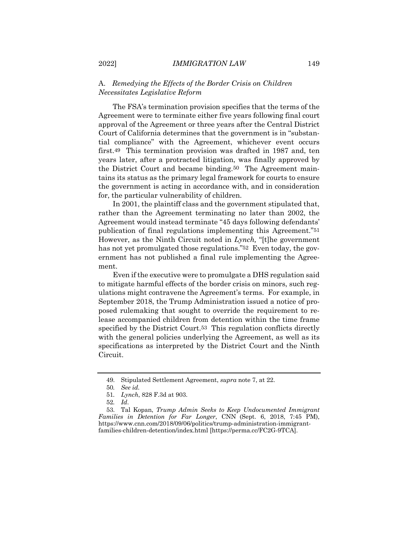## A. *Remedying the Effects of the Border Crisis on Children Necessitates Legislative Reform*

The FSA's termination provision specifies that the terms of the Agreement were to terminate either five years following final court approval of the Agreement or three years after the Central District Court of California determines that the government is in "substantial compliance" with the Agreement, whichever event occurs first.49 This termination provision was drafted in 1987 and, ten years later, after a protracted litigation, was finally approved by the District Court and became binding.50 The Agreement maintains its status as the primary legal framework for courts to ensure the government is acting in accordance with, and in consideration for, the particular vulnerability of children.

In 2001, the plaintiff class and the government stipulated that, rather than the Agreement terminating no later than 2002, the Agreement would instead terminate "45 days following defendants' publication of final regulations implementing this Agreement."51 However, as the Ninth Circuit noted in *Lynch,* "[t]he government has not yet promulgated those regulations."<sup>52</sup> Even today, the government has not published a final rule implementing the Agreement.

Even if the executive were to promulgate a DHS regulation said to mitigate harmful effects of the border crisis on minors, such regulations might contravene the Agreement's terms. For example, in September 2018, the Trump Administration issued a notice of proposed rulemaking that sought to override the requirement to release accompanied children from detention within the time frame specified by the District Court.53 This regulation conflicts directly with the general policies underlying the Agreement, as well as its specifications as interpreted by the District Court and the Ninth Circuit.

<sup>49.</sup> Stipulated Settlement Agreement, *supra* note 7, at 22.

<sup>50</sup>*. See id.*

<sup>51</sup>*. Lynch*, 828 F.3d at 903.

<sup>52</sup>*. Id*.

<sup>53.</sup> Tal Kopan, *Trump Admin Seeks to Keep Undocumented Immigrant Families in Detention for Far Longer*, CNN (Sept. 6, 2018, 7:45 PM), https://www.cnn.com/2018/09/06/politics/trump-administration-immigrantfamilies-children-detention/index.html [https://perma.cc/FC2G-9TCA].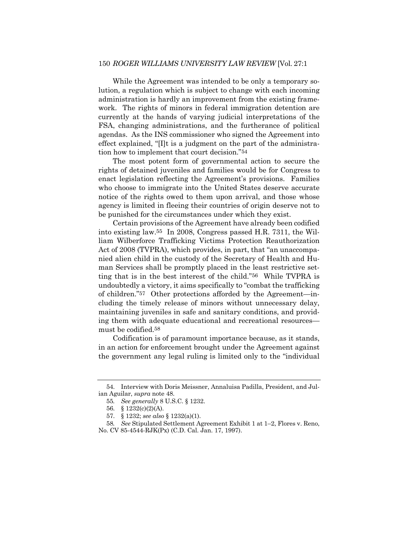While the Agreement was intended to be only a temporary solution, a regulation which is subject to change with each incoming administration is hardly an improvement from the existing framework. The rights of minors in federal immigration detention are currently at the hands of varying judicial interpretations of the FSA, changing administrations, and the furtherance of political agendas. As the INS commissioner who signed the Agreement into effect explained, "[I]t is a judgment on the part of the administration how to implement that court decision."54

The most potent form of governmental action to secure the rights of detained juveniles and families would be for Congress to enact legislation reflecting the Agreement's provisions. Families who choose to immigrate into the United States deserve accurate notice of the rights owed to them upon arrival, and those whose agency is limited in fleeing their countries of origin deserve not to be punished for the circumstances under which they exist.

Certain provisions of the Agreement have already been codified into existing law.55 In 2008, Congress passed H.R. 7311, the William Wilberforce Trafficking Victims Protection Reauthorization Act of 2008 (TVPRA), which provides, in part, that "an unaccompanied alien child in the custody of the Secretary of Health and Human Services shall be promptly placed in the least restrictive setting that is in the best interest of the child."56 While TVPRA is undoubtedly a victory, it aims specifically to "combat the trafficking of children."57 Other protections afforded by the Agreement—including the timely release of minors without unnecessary delay, maintaining juveniles in safe and sanitary conditions, and providing them with adequate educational and recreational resources must be codified.58

Codification is of paramount importance because, as it stands, in an action for enforcement brought under the Agreement against the government any legal ruling is limited only to the "individual

<sup>54.</sup> Interview with Doris Meissner, Annaluisa Padilla, President, and Julian Aguilar, *supra* note 48.

<sup>55</sup>*. See generally* 8 U.S.C. § 1232.

<sup>56.</sup> § 1232(c)(2)(A).

<sup>57.</sup> § 1232; *see also* § 1232(a)(1).

<sup>58</sup>*. See* Stipulated Settlement Agreement Exhibit 1 at 1–2, Flores v. Reno, No. CV 85-4544-RJK(Px) (C.D. Cal. Jan. 17, 1997).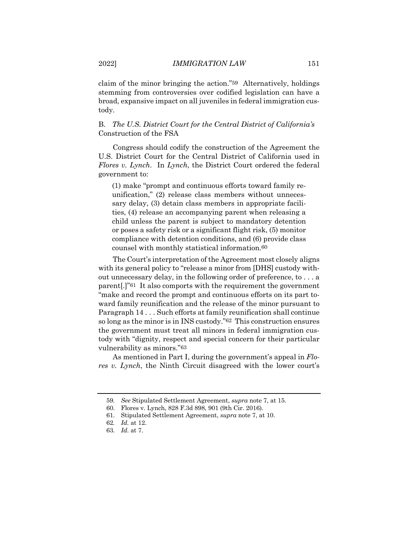claim of the minor bringing the action."59 Alternatively, holdings stemming from controversies over codified legislation can have a broad, expansive impact on all juveniles in federal immigration custody.

B. *The U.S. District Court for the Central District of California's* Construction of the FSA

Congress should codify the construction of the Agreement the U.S. District Court for the Central District of California used in *Flores v. Lynch*. In *Lynch*, the District Court ordered the federal government to:

(1) make "prompt and continuous efforts toward family reunification," (2) release class members without unnecessary delay, (3) detain class members in appropriate facilities, (4) release an accompanying parent when releasing a child unless the parent is subject to mandatory detention or poses a safety risk or a significant flight risk, (5) monitor compliance with detention conditions, and (6) provide class counsel with monthly statistical information.60

The Court's interpretation of the Agreement most closely aligns with its general policy to "release a minor from [DHS] custody without unnecessary delay, in the following order of preference, to . . . a parent[.]"61 It also comports with the requirement the government "make and record the prompt and continuous efforts on its part toward family reunification and the release of the minor pursuant to Paragraph 14 . . . Such efforts at family reunification shall continue so long as the minor is in INS custody."62 This construction ensures the government must treat all minors in federal immigration custody with "dignity, respect and special concern for their particular vulnerability as minors."63

As mentioned in Part I, during the government's appeal in *Flores v. Lynch*, the Ninth Circuit disagreed with the lower court's

<sup>59</sup>*. See* Stipulated Settlement Agreement, *supra* note 7, at 15.

<sup>60.</sup> Flores v. Lynch, 828 F.3d 898, 901 (9th Cir. 2016).

<sup>61.</sup> Stipulated Settlement Agreement, *supra* note 7, at 10.

<sup>62</sup>*. Id.* at 12.

<sup>63</sup>*. Id.* at 7.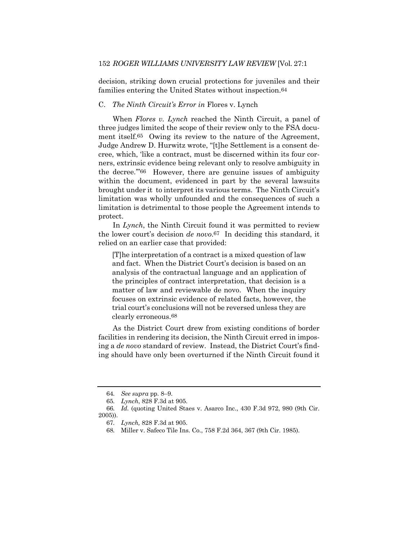decision, striking down crucial protections for juveniles and their families entering the United States without inspection.64

## C. *The Ninth Circuit's Error in* Flores v. Lynch

When *Flores v. Lynch* reached the Ninth Circuit, a panel of three judges limited the scope of their review only to the FSA document itself.65 Owing its review to the nature of the Agreement, Judge Andrew D. Hurwitz wrote, "[t]he Settlement is a consent decree, which, 'like a contract, must be discerned within its four corners, extrinsic evidence being relevant only to resolve ambiguity in the decree.'"66 However, there are genuine issues of ambiguity within the document, evidenced in part by the several lawsuits brought under it to interpret its various terms. The Ninth Circuit's limitation was wholly unfounded and the consequences of such a limitation is detrimental to those people the Agreement intends to protect.

In *Lynch*, the Ninth Circuit found it was permitted to review the lower court's decision *de novo*.67 In deciding this standard, it relied on an earlier case that provided:

[T]he interpretation of a contract is a mixed question of law and fact. When the District Court's decision is based on an analysis of the contractual language and an application of the principles of contract interpretation, that decision is a matter of law and reviewable de novo. When the inquiry focuses on extrinsic evidence of related facts, however, the trial court's conclusions will not be reversed unless they are clearly erroneous.68

As the District Court drew from existing conditions of border facilities in rendering its decision, the Ninth Circuit erred in imposing a *de novo* standard of review. Instead, the District Court's finding should have only been overturned if the Ninth Circuit found it

<sup>64</sup>*. See supra* pp. 8–9.

<sup>65</sup>*. Lynch*, 828 F.3d at 905.

<sup>66</sup>*. Id.* (quoting United Staes v. Asarco Inc., 430 F.3d 972, 980 (9th Cir. 2005)).

<sup>67</sup>*. Lynch,* 828 F.3d at 905.

<sup>68</sup>*.* Miller v. Safeco Tile Ins. Co., 758 F.2d 364, 367 (9th Cir. 1985).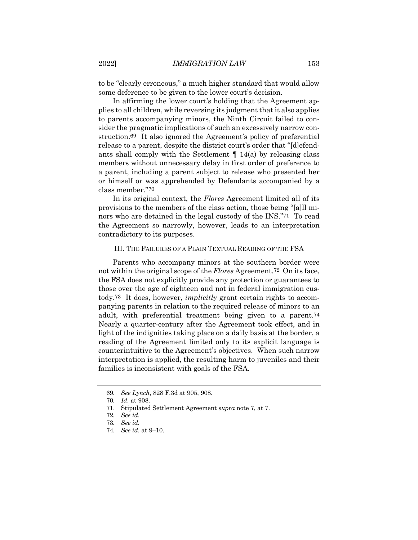to be "clearly erroneous," a much higher standard that would allow some deference to be given to the lower court's decision.

In affirming the lower court's holding that the Agreement applies to all children, while reversing its judgment that it also applies to parents accompanying minors, the Ninth Circuit failed to consider the pragmatic implications of such an excessively narrow construction.69 It also ignored the Agreement's policy of preferential release to a parent, despite the district court's order that "[d]efendants shall comply with the Settlement  $\P$  14(a) by releasing class members without unnecessary delay in first order of preference to a parent, including a parent subject to release who presented her or himself or was apprehended by Defendants accompanied by a class member."70

In its original context, the *Flores* Agreement limited all of its provisions to the members of the class action, those being "[a]ll minors who are detained in the legal custody of the INS."71 To read the Agreement so narrowly, however, leads to an interpretation contradictory to its purposes.

### III. THE FAILURES OF A PLAIN TEXTUAL READING OF THE FSA

Parents who accompany minors at the southern border were not within the original scope of the *Flores* Agreement.72 On its face, the FSA does not explicitly provide any protection or guarantees to those over the age of eighteen and not in federal immigration custody.73 It does, however, *implicitly* grant certain rights to accompanying parents in relation to the required release of minors to an adult, with preferential treatment being given to a parent.74 Nearly a quarter-century after the Agreement took effect, and in light of the indignities taking place on a daily basis at the border, a reading of the Agreement limited only to its explicit language is counterintuitive to the Agreement's objectives. When such narrow interpretation is applied, the resulting harm to juveniles and their families is inconsistent with goals of the FSA.

<sup>69</sup>*. See Lynch*, 828 F.3d at 905, 908.

<sup>70</sup>*. Id.* at 908.

<sup>71.</sup> Stipulated Settlement Agreement *supra* note 7, at 7.

<sup>72</sup>*. See id.*

<sup>73</sup>*. See id.*

<sup>74</sup>*. See id.* at 9–10.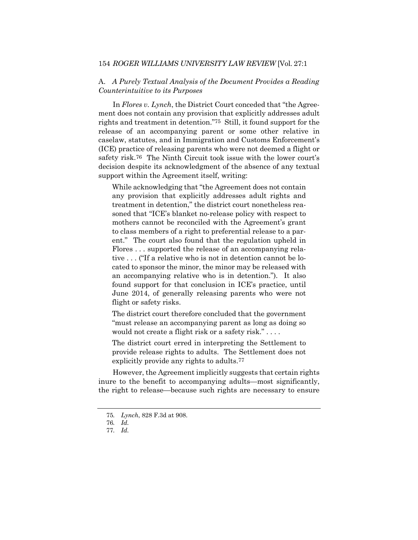A. *A Purely Textual Analysis of the Document Provides a Reading Counterintuitive to its Purposes*

In *Flores v. Lynch*, the District Court conceded that "the Agreement does not contain any provision that explicitly addresses adult rights and treatment in detention."75 Still, it found support for the release of an accompanying parent or some other relative in caselaw, statutes, and in Immigration and Customs Enforcement's (ICE) practice of releasing parents who were not deemed a flight or safety risk.76 The Ninth Circuit took issue with the lower court's decision despite its acknowledgment of the absence of any textual support within the Agreement itself, writing:

While acknowledging that "the Agreement does not contain any provision that explicitly addresses adult rights and treatment in detention," the district court nonetheless reasoned that "ICE's blanket no-release policy with respect to mothers cannot be reconciled with the Agreement's grant to class members of a right to preferential release to a parent." The court also found that the regulation upheld in Flores . . . supported the release of an accompanying relative . . . ("If a relative who is not in detention cannot be located to sponsor the minor, the minor may be released with an accompanying relative who is in detention."). It also found support for that conclusion in ICE's practice, until June 2014, of generally releasing parents who were not flight or safety risks.

The district court therefore concluded that the government "must release an accompanying parent as long as doing so would not create a flight risk or a safety risk." . . . .

The district court erred in interpreting the Settlement to provide release rights to adults. The Settlement does not explicitly provide any rights to adults.77

However, the Agreement implicitly suggests that certain rights inure to the benefit to accompanying adults—most significantly, the right to release—because such rights are necessary to ensure

<sup>75</sup>*. Lynch*, 828 F.3d at 908.

<sup>76</sup>*. Id.*

<sup>77</sup>*. Id.*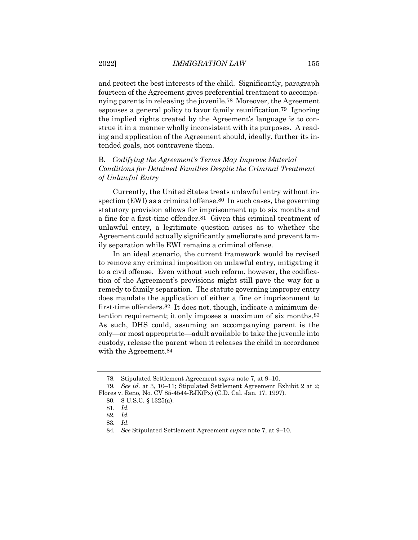and protect the best interests of the child. Significantly, paragraph fourteen of the Agreement gives preferential treatment to accompanying parents in releasing the juvenile.78 Moreover, the Agreement espouses a general policy to favor family reunification.79 Ignoring the implied rights created by the Agreement's language is to construe it in a manner wholly inconsistent with its purposes. A reading and application of the Agreement should, ideally, further its intended goals, not contravene them.

## B. *Codifying the Agreement's Terms May Improve Material Conditions for Detained Families Despite the Criminal Treatment of Unlawful Entry*

Currently, the United States treats unlawful entry without inspection (EWI) as a criminal offense.<sup>80</sup> In such cases, the governing statutory provision allows for imprisonment up to six months and a fine for a first-time offender.81 Given this criminal treatment of unlawful entry, a legitimate question arises as to whether the Agreement could actually significantly ameliorate and prevent family separation while EWI remains a criminal offense.

In an ideal scenario, the current framework would be revised to remove any criminal imposition on unlawful entry, mitigating it to a civil offense. Even without such reform, however, the codification of the Agreement's provisions might still pave the way for a remedy to family separation. The statute governing improper entry does mandate the application of either a fine or imprisonment to first-time offenders.82 It does not, though, indicate a minimum detention requirement; it only imposes a maximum of six months.83 As such, DHS could, assuming an accompanying parent is the only—or most appropriate—adult available to take the juvenile into custody, release the parent when it releases the child in accordance with the Agreement.84

<sup>78.</sup> Stipulated Settlement Agreement *supra* note 7, at 9–10.

<sup>79</sup>*. See id.* at 3, 10–11; Stipulated Settlement Agreement Exhibit 2 at 2; Flores v. Reno, No. CV 85-4544-RJK(Px) (C.D. Cal. Jan. 17, 1997).

<sup>80.</sup> 8 U.S.C. § 1325(a).

<sup>81</sup>*. Id.*

<sup>82</sup>*. Id.*

<sup>83</sup>*. Id.*

<sup>84</sup>*. See* Stipulated Settlement Agreement *supra* note 7, at 9–10.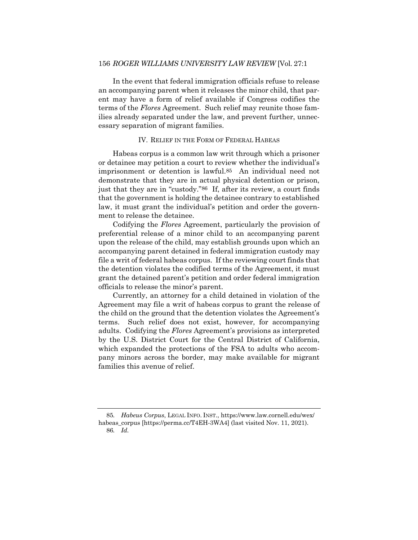In the event that federal immigration officials refuse to release an accompanying parent when it releases the minor child, that parent may have a form of relief available if Congress codifies the terms of the *Flores* Agreement. Such relief may reunite those families already separated under the law, and prevent further, unnecessary separation of migrant families.

## IV. RELIEF IN THE FORM OF FEDERAL HABEAS

Habeas corpus is a common law writ through which a prisoner or detainee may petition a court to review whether the individual's imprisonment or detention is lawful.85 An individual need not demonstrate that they are in actual physical detention or prison, just that they are in "custody."86 If, after its review, a court finds that the government is holding the detainee contrary to established law, it must grant the individual's petition and order the government to release the detainee.

Codifying the *Flores* Agreement, particularly the provision of preferential release of a minor child to an accompanying parent upon the release of the child, may establish grounds upon which an accompanying parent detained in federal immigration custody may file a writ of federal habeas corpus. If the reviewing court finds that the detention violates the codified terms of the Agreement, it must grant the detained parent's petition and order federal immigration officials to release the minor's parent.

Currently, an attorney for a child detained in violation of the Agreement may file a writ of habeas corpus to grant the release of the child on the ground that the detention violates the Agreement's terms. Such relief does not exist, however, for accompanying adults. Codifying the *Flores* Agreement's provisions as interpreted by the U.S. District Court for the Central District of California, which expanded the protections of the FSA to adults who accompany minors across the border, may make available for migrant families this avenue of relief.

<sup>85</sup>*. Habeus Corpus*, LEGAL INFO. INST., https://www.law.cornell.edu/wex/ habeas\_corpus [https://perma.cc/T4EH-3WA4] (last visited Nov. 11, 2021). 86*. Id.*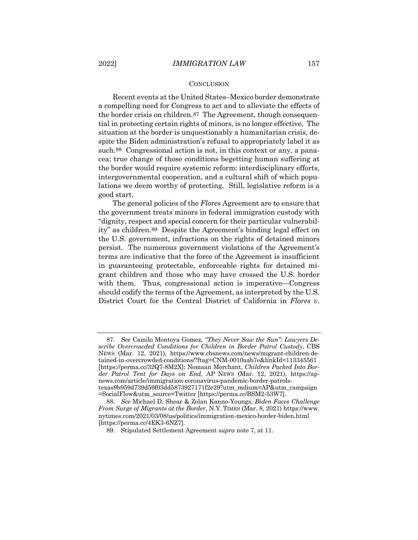#### **CONCLUSION**

Recent events at the United States–Mexico border demonstrate a compelling need for Congress to act and to alleviate the effects of the border crisis on children.87 The Agreement, though consequential in protecting certain rights of minors, is no longer effective. The situation at the border is unquestionably a humanitarian crisis, despite the Biden administration's refusal to appropriately label it as such.88 Congressional action is not, in this context or any, a panacea; true change of those conditions begetting human suffering at the border would require systemic reform: interdisciplinary efforts, intergovernmental cooperation, and a cultural shift of which populations we deem worthy of protecting. Still, legislative reform is a good start.

The general policies of the *Flores* Agreement are to ensure that the government treats minors in federal immigration custody with "dignity, respect and special concern for their particular vulnerability" as children.89 Despite the Agreement's binding legal effect on the U.S. government, infractions on the rights of detained minors persist. The numerous government violations of the Agreement's terms are indicative that the force of the Agreement is insufficient in guaranteeing protectable, enforceable rights for detained migrant children and those who may have crossed the U.S. border with them. Thus, congressional action is imperative—Congress should codify the terms of the Agreement, as interpreted by the U.S. District Court for the Central District of California in *Flores v.* 

<sup>87</sup>*. See* Camilo Montoya Gomez, *"They Never Saw the Sun": Lawyers Describe Overcrowded Conditions for Children in Border Patrol Custody*, CBS NEWS (Mar. 12, 2021), https://www.cbsnews.com/news/migrant-children-detained-in-overcrowded-conditions/?ftag=CNM-0010aab7e&linkId=113345561 [https://perma.cc/32Q7-8M2X]; Nomaan Merchant, *Children Packed Into Border Patrol Tent for Days on End*, AP NEWS (Mar. 12, 2021), https://apnews.com/article/immigration-coronavirus-pandemic-border-patrolstexas9b959d739d59f03dd5873927171f2e29?utm\_mdium=AP&utm\_campaign =SocialFlow&utm\_source=Twitter [https://perma.cc/BSM2-53W7].

<sup>88</sup>*. See* Michael D. Shear & Zolan Kanno-Youngs, *Biden Faces Challenge From Surge of Migrants at the Border*, N.Y. TIMES (Mar. 8, 2021) https://www. nytimes.com/2021/03/08/us/politics/immigration-mexico-border-biden.html [https://perma.cc/4EK3-6NZ7].

<sup>89.</sup> Stipulated Settlement Agreement *supra* note 7, at 11.